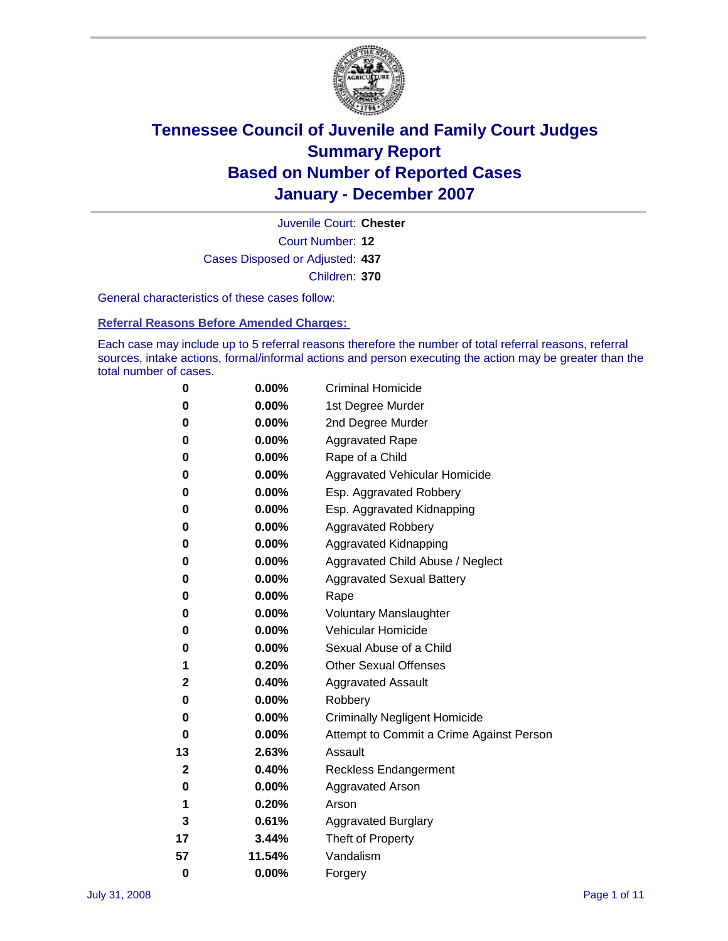

Court Number: **12** Juvenile Court: **Chester** Cases Disposed or Adjusted: **437** Children: **370**

General characteristics of these cases follow:

**Referral Reasons Before Amended Charges:** 

Each case may include up to 5 referral reasons therefore the number of total referral reasons, referral sources, intake actions, formal/informal actions and person executing the action may be greater than the total number of cases.

| 0        | 0.00%    | <b>Criminal Homicide</b>                 |
|----------|----------|------------------------------------------|
| 0        | 0.00%    | 1st Degree Murder                        |
| 0        | $0.00\%$ | 2nd Degree Murder                        |
| 0        | 0.00%    | <b>Aggravated Rape</b>                   |
| 0        | 0.00%    | Rape of a Child                          |
| 0        | 0.00%    | Aggravated Vehicular Homicide            |
| 0        | 0.00%    | Esp. Aggravated Robbery                  |
| 0        | 0.00%    | Esp. Aggravated Kidnapping               |
| 0        | 0.00%    | <b>Aggravated Robbery</b>                |
| 0        | 0.00%    | Aggravated Kidnapping                    |
| 0        | 0.00%    | Aggravated Child Abuse / Neglect         |
| 0        | $0.00\%$ | <b>Aggravated Sexual Battery</b>         |
| 0        | 0.00%    | Rape                                     |
| 0        | 0.00%    | <b>Voluntary Manslaughter</b>            |
| 0        | 0.00%    | Vehicular Homicide                       |
| 0        | 0.00%    | Sexual Abuse of a Child                  |
| 1        | 0.20%    | <b>Other Sexual Offenses</b>             |
| 2        | 0.40%    | <b>Aggravated Assault</b>                |
| 0        | $0.00\%$ | Robbery                                  |
| 0        | 0.00%    | <b>Criminally Negligent Homicide</b>     |
| 0        | 0.00%    | Attempt to Commit a Crime Against Person |
| 13       | 2.63%    | Assault                                  |
| 2        | 0.40%    | <b>Reckless Endangerment</b>             |
| 0        | 0.00%    | Aggravated Arson                         |
| 1        | 0.20%    | Arson                                    |
| 3        | 0.61%    | <b>Aggravated Burglary</b>               |
| 17       | 3.44%    | Theft of Property                        |
| 57       | 11.54%   | Vandalism                                |
| $\bf{0}$ | 0.00%    | Forgery                                  |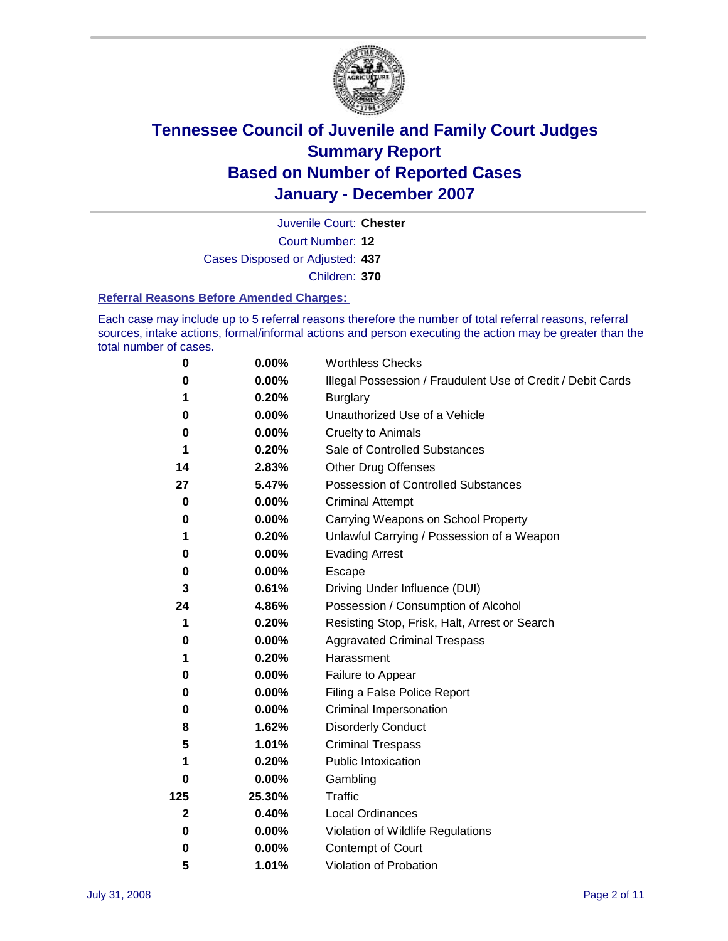

Court Number: **12** Juvenile Court: **Chester** Cases Disposed or Adjusted: **437** Children: **370**

**Referral Reasons Before Amended Charges:** 

Each case may include up to 5 referral reasons therefore the number of total referral reasons, referral sources, intake actions, formal/informal actions and person executing the action may be greater than the total number of cases.

| 0           | 0.00%    | <b>Worthless Checks</b>                                     |
|-------------|----------|-------------------------------------------------------------|
| 0           | 0.00%    | Illegal Possession / Fraudulent Use of Credit / Debit Cards |
| 1           | 0.20%    | <b>Burglary</b>                                             |
| 0           | 0.00%    | Unauthorized Use of a Vehicle                               |
| 0           | 0.00%    | <b>Cruelty to Animals</b>                                   |
| 1           | 0.20%    | Sale of Controlled Substances                               |
| 14          | 2.83%    | <b>Other Drug Offenses</b>                                  |
| 27          | 5.47%    | <b>Possession of Controlled Substances</b>                  |
| 0           | 0.00%    | <b>Criminal Attempt</b>                                     |
| 0           | 0.00%    | Carrying Weapons on School Property                         |
| 1           | 0.20%    | Unlawful Carrying / Possession of a Weapon                  |
| 0           | 0.00%    | <b>Evading Arrest</b>                                       |
| 0           | 0.00%    | Escape                                                      |
| 3           | 0.61%    | Driving Under Influence (DUI)                               |
| 24          | 4.86%    | Possession / Consumption of Alcohol                         |
| 1           | 0.20%    | Resisting Stop, Frisk, Halt, Arrest or Search               |
| 0           | 0.00%    | <b>Aggravated Criminal Trespass</b>                         |
| 1           | 0.20%    | Harassment                                                  |
| 0           | 0.00%    | Failure to Appear                                           |
| 0           | 0.00%    | Filing a False Police Report                                |
| 0           | 0.00%    | Criminal Impersonation                                      |
| 8           | 1.62%    | <b>Disorderly Conduct</b>                                   |
| 5           | 1.01%    | <b>Criminal Trespass</b>                                    |
| 1           | 0.20%    | <b>Public Intoxication</b>                                  |
| 0           | 0.00%    | Gambling                                                    |
| 125         | 25.30%   | Traffic                                                     |
| $\mathbf 2$ | 0.40%    | <b>Local Ordinances</b>                                     |
| 0           | $0.00\%$ | Violation of Wildlife Regulations                           |
| 0           | 0.00%    | Contempt of Court                                           |
| 5           | 1.01%    | Violation of Probation                                      |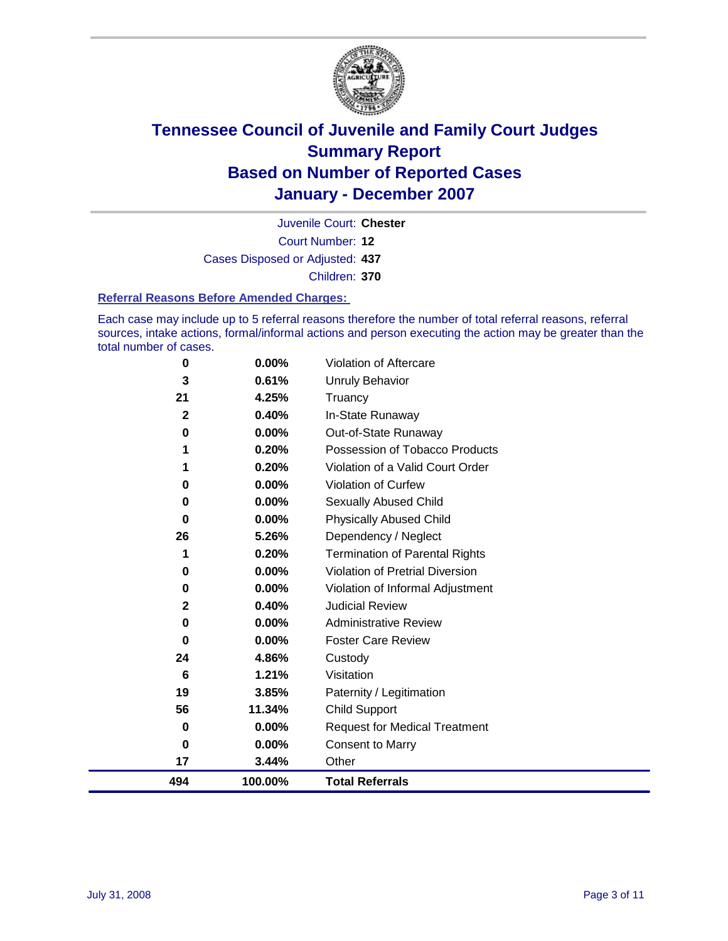

Court Number: **12** Juvenile Court: **Chester** Cases Disposed or Adjusted: **437** Children: **370**

#### **Referral Reasons Before Amended Charges:**

Each case may include up to 5 referral reasons therefore the number of total referral reasons, referral sources, intake actions, formal/informal actions and person executing the action may be greater than the total number of cases.

| 494          | 100.00%  | <b>Total Referrals</b>                 |
|--------------|----------|----------------------------------------|
| 17           | 3.44%    | Other                                  |
| 0            | 0.00%    | <b>Consent to Marry</b>                |
| 0            | 0.00%    | <b>Request for Medical Treatment</b>   |
| 56           | 11.34%   | Child Support                          |
| 19           | 3.85%    | Paternity / Legitimation               |
| 6            | 1.21%    | Visitation                             |
| 24           | 4.86%    | Custody                                |
| 0            | 0.00%    | <b>Foster Care Review</b>              |
| 0            | $0.00\%$ | <b>Administrative Review</b>           |
| $\mathbf{2}$ | 0.40%    | <b>Judicial Review</b>                 |
| 0            | 0.00%    | Violation of Informal Adjustment       |
| 0            | $0.00\%$ | <b>Violation of Pretrial Diversion</b> |
| 1            | 0.20%    | <b>Termination of Parental Rights</b>  |
| 26           | 5.26%    | Dependency / Neglect                   |
| 0            | $0.00\%$ | <b>Physically Abused Child</b>         |
| 0            | 0.00%    | <b>Sexually Abused Child</b>           |
| 0            | 0.00%    | Violation of Curfew                    |
| 1            | 0.20%    | Violation of a Valid Court Order       |
| 1            | 0.20%    | Possession of Tobacco Products         |
| 0            | $0.00\%$ | Out-of-State Runaway                   |
| $\mathbf{2}$ | 0.40%    | In-State Runaway                       |
| 21           | 4.25%    | Truancy                                |
| 3            | 0.61%    | <b>Unruly Behavior</b>                 |
| 0            | 0.00%    | Violation of Aftercare                 |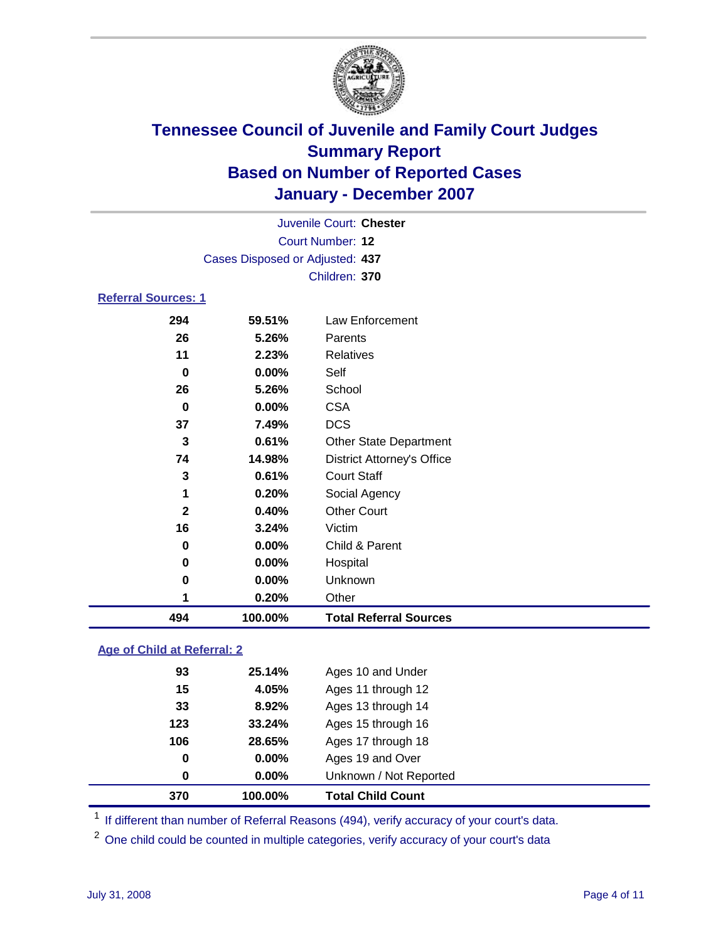

| Juvenile Court: Chester |                                 |
|-------------------------|---------------------------------|
| Court Number: 12        |                                 |
|                         | Cases Disposed or Adjusted: 437 |
| Children: 370           |                                 |
|                         |                                 |

#### **Referral Sources: 1**

| 494          | 100.00% | <b>Total Referral Sources</b>     |  |
|--------------|---------|-----------------------------------|--|
| 1            | 0.20%   | Other                             |  |
| 0            | 0.00%   | Unknown                           |  |
| 0            | 0.00%   | Hospital                          |  |
| 0            | 0.00%   | Child & Parent                    |  |
| 16           | 3.24%   | Victim                            |  |
| $\mathbf{2}$ | 0.40%   | <b>Other Court</b>                |  |
| 1            | 0.20%   | Social Agency                     |  |
| 3            | 0.61%   | <b>Court Staff</b>                |  |
| 74           | 14.98%  | <b>District Attorney's Office</b> |  |
| 3            | 0.61%   | <b>Other State Department</b>     |  |
| 37           | 7.49%   | <b>DCS</b>                        |  |
| 0            | 0.00%   | <b>CSA</b>                        |  |
| 26           | 5.26%   | School                            |  |
| $\mathbf 0$  | 0.00%   | Self                              |  |
| 11           | 2.23%   | Relatives                         |  |
| 26           | 5.26%   | Parents                           |  |
| 294          | 59.51%  | Law Enforcement                   |  |

### **Age of Child at Referral: 2**

| 370 | 100.00%           | <b>Total Child Count</b> |
|-----|-------------------|--------------------------|
|     | $0.00\%$<br>0     | Unknown / Not Reported   |
|     | 0.00%<br>$\bf{0}$ | Ages 19 and Over         |
| 106 | 28.65%            | Ages 17 through 18       |
| 123 | 33.24%            | Ages 15 through 16       |
|     | 8.92%<br>33       | Ages 13 through 14       |
|     | 15<br>4.05%       | Ages 11 through 12       |
|     | 93<br>25.14%      | Ages 10 and Under        |
|     |                   |                          |

<sup>1</sup> If different than number of Referral Reasons (494), verify accuracy of your court's data.

One child could be counted in multiple categories, verify accuracy of your court's data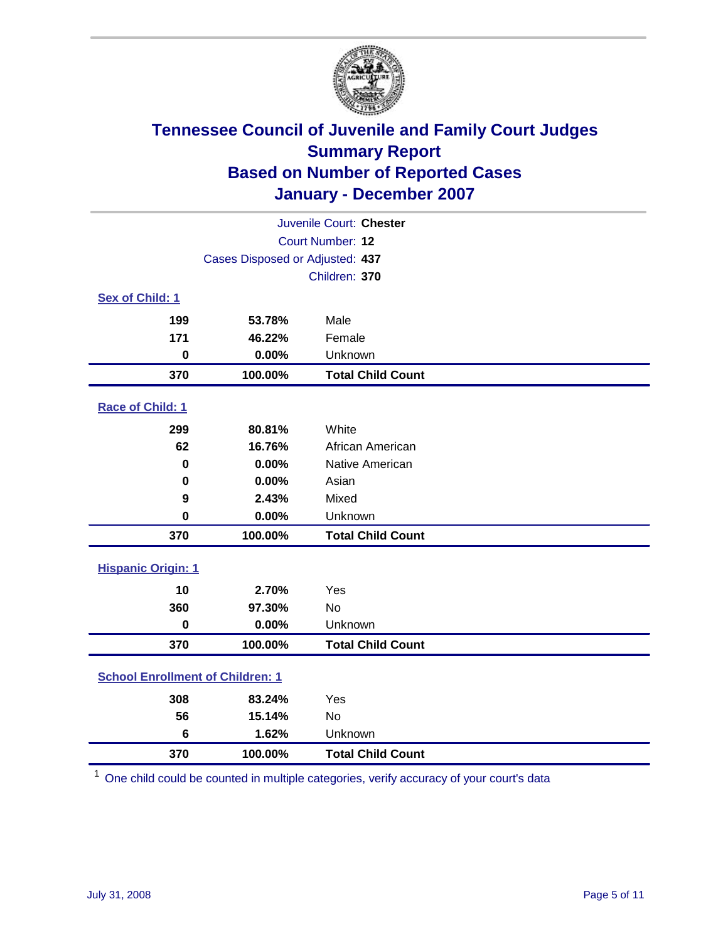

| Juvenile Court: Chester                 |         |                          |  |
|-----------------------------------------|---------|--------------------------|--|
| Court Number: 12                        |         |                          |  |
| Cases Disposed or Adjusted: 437         |         |                          |  |
|                                         |         | Children: 370            |  |
| Sex of Child: 1                         |         |                          |  |
| 199                                     | 53.78%  | Male                     |  |
| 171                                     | 46.22%  | Female                   |  |
| 0                                       | 0.00%   | Unknown                  |  |
| 370                                     | 100.00% | <b>Total Child Count</b> |  |
| <b>Race of Child: 1</b>                 |         |                          |  |
| 299                                     | 80.81%  | White                    |  |
| 62                                      | 16.76%  | African American         |  |
| 0                                       | 0.00%   | Native American          |  |
| 0                                       | 0.00%   | Asian                    |  |
| 9                                       | 2.43%   | Mixed                    |  |
| $\mathbf 0$                             | 0.00%   | Unknown                  |  |
| 370                                     | 100.00% | <b>Total Child Count</b> |  |
| <b>Hispanic Origin: 1</b>               |         |                          |  |
| 10                                      | 2.70%   | Yes                      |  |
| 360                                     | 97.30%  | <b>No</b>                |  |
| $\mathbf 0$                             | 0.00%   | Unknown                  |  |
| 370                                     | 100.00% | <b>Total Child Count</b> |  |
| <b>School Enrollment of Children: 1</b> |         |                          |  |
| 308                                     | 83.24%  | Yes                      |  |
| 56                                      | 15.14%  | No                       |  |
| 6                                       | 1.62%   | Unknown                  |  |
| 370                                     | 100.00% | <b>Total Child Count</b> |  |

One child could be counted in multiple categories, verify accuracy of your court's data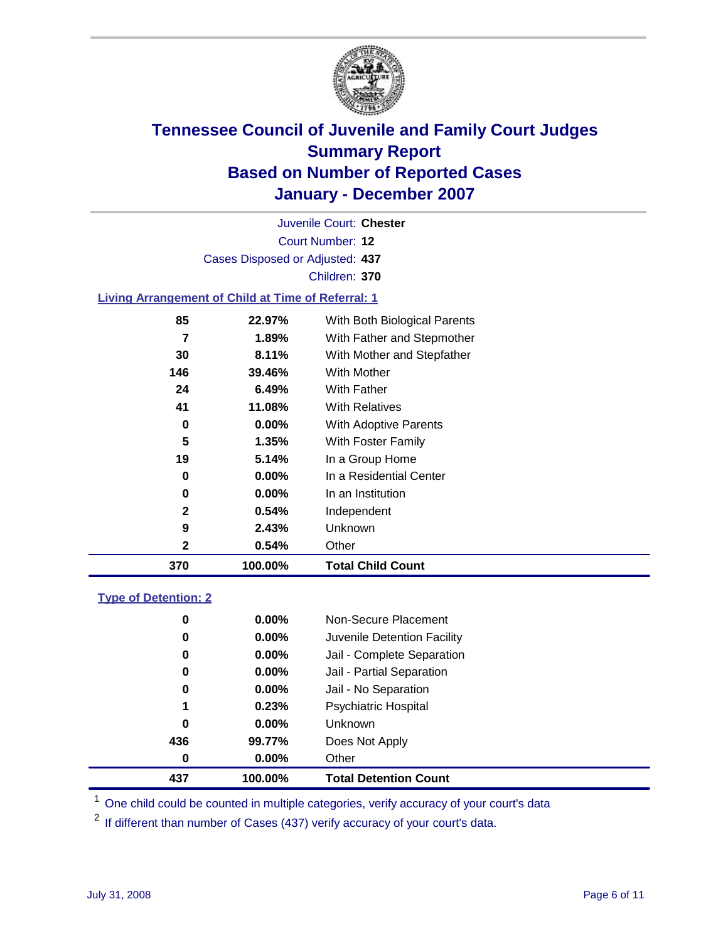

Court Number: **12** Juvenile Court: **Chester** Cases Disposed or Adjusted: **437** Children: **370 Living Arrangement of Child at Time of Referral: 1 22.97%** With Both Biological Parents

| 370 | 100.00%  | <b>Total Child Count</b>   |
|-----|----------|----------------------------|
| 2   | 0.54%    | Other                      |
| 9   | 2.43%    | Unknown                    |
| 2   | 0.54%    | Independent                |
| 0   | $0.00\%$ | In an Institution          |
| 0   | $0.00\%$ | In a Residential Center    |
| 19  | 5.14%    | In a Group Home            |
| 5   | 1.35%    | With Foster Family         |
| 0   | 0.00%    | With Adoptive Parents      |
| 41  | 11.08%   | <b>With Relatives</b>      |
| 24  | 6.49%    | <b>With Father</b>         |
| 146 | 39.46%   | <b>With Mother</b>         |
| 30  | 8.11%    | With Mother and Stepfather |
| 7   | 1.89%    | With Father and Stepmother |
|     |          |                            |

#### **Type of Detention: 2**

| 437 | 100.00%  | <b>Total Detention Count</b> |  |
|-----|----------|------------------------------|--|
| 0   | 0.00%    | Other                        |  |
| 436 | 99.77%   | Does Not Apply               |  |
| 0   | $0.00\%$ | <b>Unknown</b>               |  |
| 1   | 0.23%    | <b>Psychiatric Hospital</b>  |  |
| 0   | $0.00\%$ | Jail - No Separation         |  |
| 0   | $0.00\%$ | Jail - Partial Separation    |  |
| 0   | $0.00\%$ | Jail - Complete Separation   |  |
| 0   | $0.00\%$ | Juvenile Detention Facility  |  |
| 0   | $0.00\%$ | Non-Secure Placement         |  |
|     |          |                              |  |

<sup>1</sup> One child could be counted in multiple categories, verify accuracy of your court's data

<sup>2</sup> If different than number of Cases (437) verify accuracy of your court's data.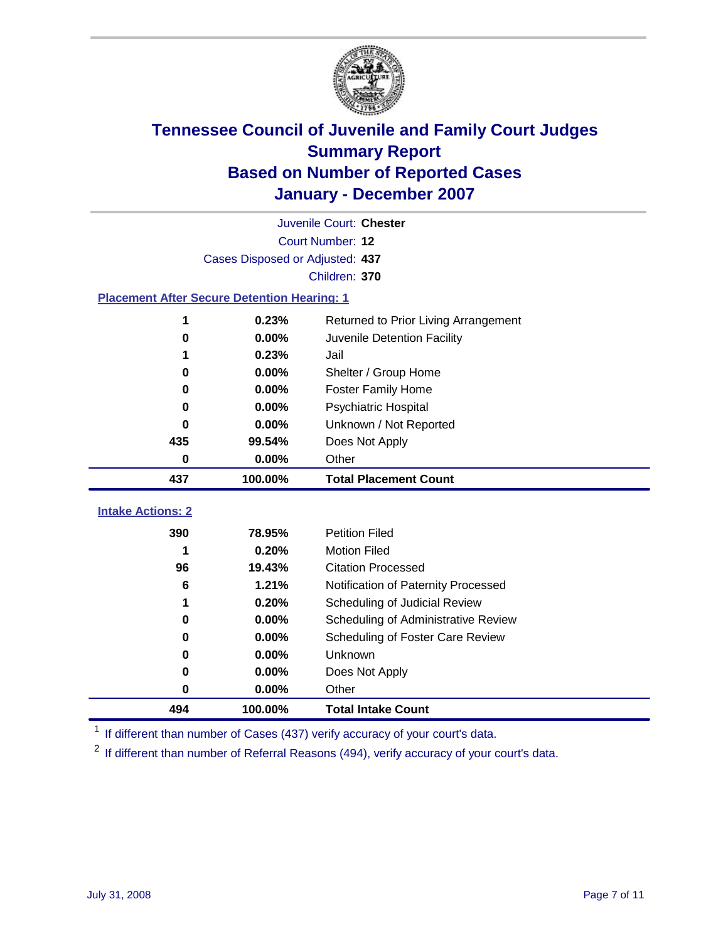

|                                                    | Juvenile Court: Chester         |                                      |  |  |  |
|----------------------------------------------------|---------------------------------|--------------------------------------|--|--|--|
|                                                    | Court Number: 12                |                                      |  |  |  |
|                                                    | Cases Disposed or Adjusted: 437 |                                      |  |  |  |
| Children: 370                                      |                                 |                                      |  |  |  |
| <b>Placement After Secure Detention Hearing: 1</b> |                                 |                                      |  |  |  |
| 1                                                  | 0.23%                           | Returned to Prior Living Arrangement |  |  |  |
| 0                                                  | 0.00%                           | Juvenile Detention Facility          |  |  |  |
| 1                                                  | 0.23%                           | Jail                                 |  |  |  |
| 0                                                  | 0.00%                           | Shelter / Group Home                 |  |  |  |
| $\bf{0}$                                           | 0.00%                           | Foster Family Home                   |  |  |  |
| $\bf{0}$                                           | 0.00%                           | Psychiatric Hospital                 |  |  |  |
| 0                                                  | 0.00%                           | Unknown / Not Reported               |  |  |  |
| 435                                                | 99.54%                          | Does Not Apply                       |  |  |  |
| $\bf{0}$                                           | 0.00%                           | Other                                |  |  |  |
| 437                                                | 100.00%                         | <b>Total Placement Count</b>         |  |  |  |
| <b>Intake Actions: 2</b>                           |                                 |                                      |  |  |  |
|                                                    |                                 |                                      |  |  |  |
| 390                                                | 78.95%                          | <b>Petition Filed</b>                |  |  |  |
| 1                                                  | 0.20%                           | <b>Motion Filed</b>                  |  |  |  |
| 96                                                 | 19.43%                          | <b>Citation Processed</b>            |  |  |  |
| 6                                                  | 1.21%                           | Notification of Paternity Processed  |  |  |  |
| 1                                                  | 0.20%                           | Scheduling of Judicial Review        |  |  |  |
| 0                                                  | 0.00%                           | Scheduling of Administrative Review  |  |  |  |
| 0                                                  | 0.00%                           | Scheduling of Foster Care Review     |  |  |  |
| $\bf{0}$                                           | 0.00%                           | Unknown                              |  |  |  |
| 0                                                  | 0.00%                           | Does Not Apply                       |  |  |  |
| $\bf{0}$                                           | 0.00%                           | Other                                |  |  |  |
| 494                                                | 100.00%                         | <b>Total Intake Count</b>            |  |  |  |

<sup>1</sup> If different than number of Cases (437) verify accuracy of your court's data.

<sup>2</sup> If different than number of Referral Reasons (494), verify accuracy of your court's data.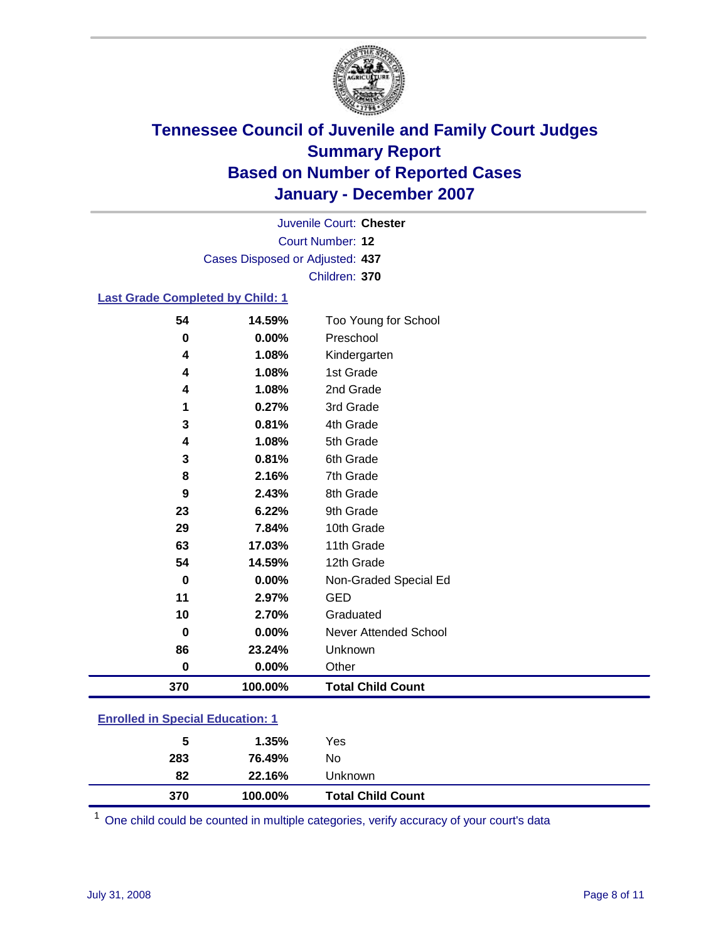

Court Number: **12** Juvenile Court: **Chester** Cases Disposed or Adjusted: **437** Children: **370**

#### **Last Grade Completed by Child: 1**

| 54  | 14.59%  | Too Young for School     |
|-----|---------|--------------------------|
| 0   | 0.00%   | Preschool                |
| 4   | 1.08%   | Kindergarten             |
| 4   | 1.08%   | 1st Grade                |
| 4   | 1.08%   | 2nd Grade                |
| 1   | 0.27%   | 3rd Grade                |
| 3   | 0.81%   | 4th Grade                |
| 4   | 1.08%   | 5th Grade                |
| 3   | 0.81%   | 6th Grade                |
| 8   | 2.16%   | 7th Grade                |
| 9   | 2.43%   | 8th Grade                |
| 23  | 6.22%   | 9th Grade                |
| 29  | 7.84%   | 10th Grade               |
| 63  | 17.03%  | 11th Grade               |
| 54  | 14.59%  | 12th Grade               |
| 0   | 0.00%   | Non-Graded Special Ed    |
| 11  | 2.97%   | <b>GED</b>               |
| 10  | 2.70%   | Graduated                |
| 0   | 0.00%   | Never Attended School    |
| 86  | 23.24%  | Unknown                  |
| 0   | 0.00%   | Other                    |
| 370 | 100.00% | <b>Total Child Count</b> |

### **Enrolled in Special Education: 1**

| 370 | <b>Total Child Count</b><br>100.00% |  |
|-----|-------------------------------------|--|
| 82  | 22.16%<br>Unknown                   |  |
| 283 | No<br>76.49%                        |  |
| 5   | Yes<br>1.35%                        |  |

<sup>1</sup> One child could be counted in multiple categories, verify accuracy of your court's data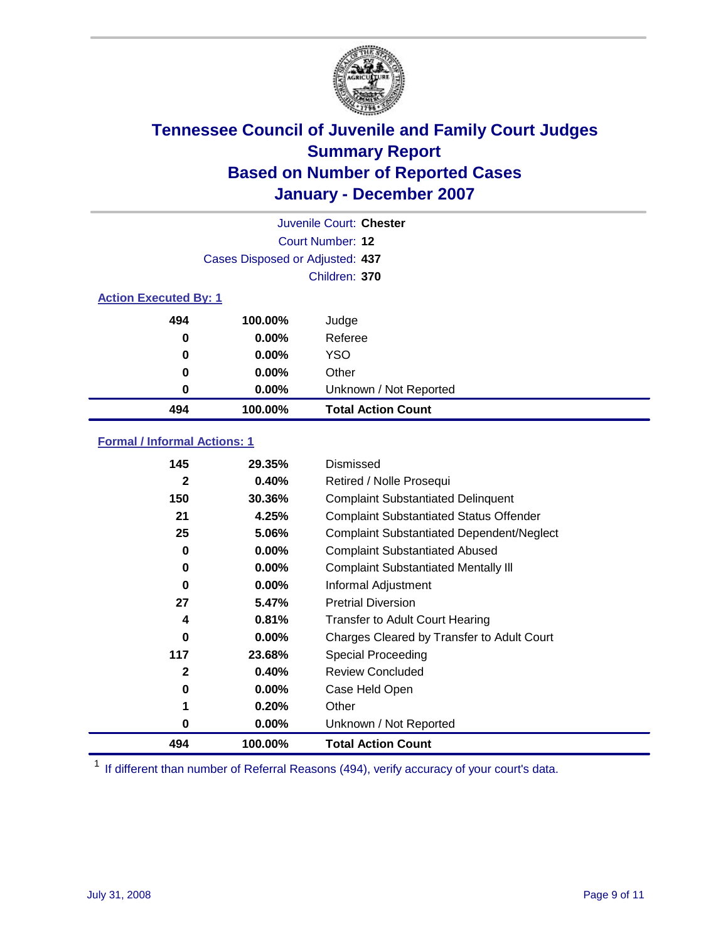

|                              |                                 | Juvenile Court: Chester   |
|------------------------------|---------------------------------|---------------------------|
|                              |                                 | Court Number: 12          |
|                              | Cases Disposed or Adjusted: 437 |                           |
|                              |                                 | Children: 370             |
| <b>Action Executed By: 1</b> |                                 |                           |
| 494                          | 100.00%                         | Judge                     |
| 0                            | $0.00\%$                        | Referee                   |
| 0                            | $0.00\%$                        | <b>YSO</b>                |
| 0                            | $0.00\%$                        | Other                     |
| 0                            | $0.00\%$                        | Unknown / Not Reported    |
| 494                          | 100.00%                         | <b>Total Action Count</b> |

### **Formal / Informal Actions: 1**

| 145 | 29.35%   | Dismissed                                        |
|-----|----------|--------------------------------------------------|
| 2   | 0.40%    | Retired / Nolle Prosequi                         |
| 150 | 30.36%   | <b>Complaint Substantiated Delinquent</b>        |
| 21  | 4.25%    | <b>Complaint Substantiated Status Offender</b>   |
| 25  | 5.06%    | <b>Complaint Substantiated Dependent/Neglect</b> |
| 0   | $0.00\%$ | <b>Complaint Substantiated Abused</b>            |
| 0   | $0.00\%$ | <b>Complaint Substantiated Mentally III</b>      |
| 0   | $0.00\%$ | Informal Adjustment                              |
| 27  | 5.47%    | <b>Pretrial Diversion</b>                        |
| 4   | 0.81%    | <b>Transfer to Adult Court Hearing</b>           |
| 0   | $0.00\%$ | Charges Cleared by Transfer to Adult Court       |
| 117 | 23.68%   | Special Proceeding                               |
| 2   | 0.40%    | <b>Review Concluded</b>                          |
| 0   | $0.00\%$ | Case Held Open                                   |
| 1   | 0.20%    | Other                                            |
| 0   | $0.00\%$ | Unknown / Not Reported                           |
| 494 | 100.00%  | <b>Total Action Count</b>                        |

<sup>1</sup> If different than number of Referral Reasons (494), verify accuracy of your court's data.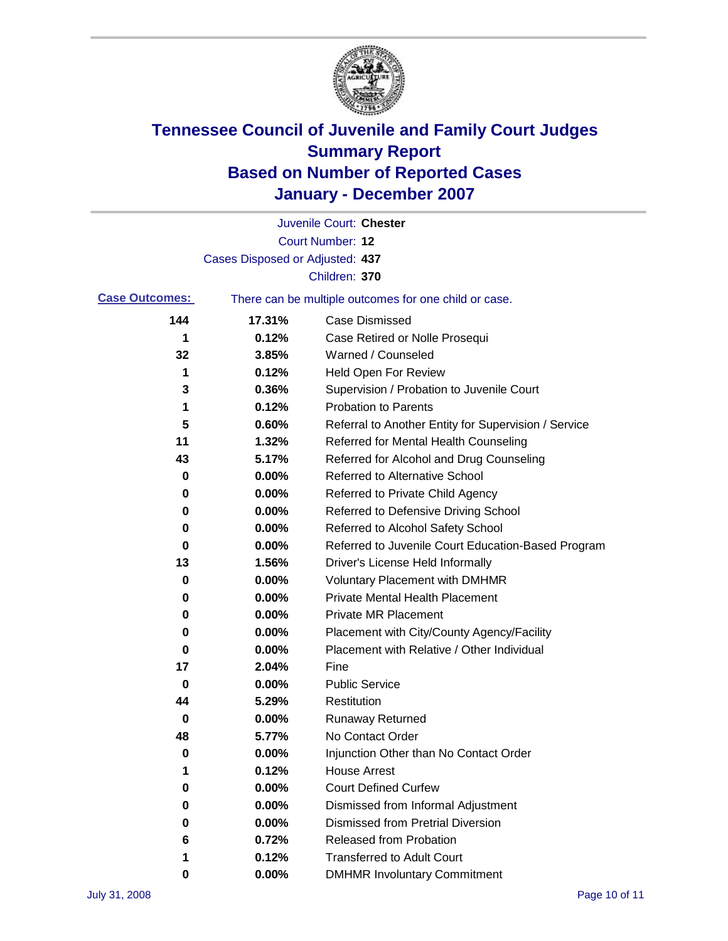

|                       |                                 | Juvenile Court: Chester                               |
|-----------------------|---------------------------------|-------------------------------------------------------|
|                       |                                 | Court Number: 12                                      |
|                       | Cases Disposed or Adjusted: 437 |                                                       |
|                       |                                 | Children: 370                                         |
| <b>Case Outcomes:</b> |                                 | There can be multiple outcomes for one child or case. |
| 144                   | 17.31%                          | <b>Case Dismissed</b>                                 |
| 1                     | 0.12%                           | Case Retired or Nolle Prosequi                        |
| 32                    | 3.85%                           | Warned / Counseled                                    |
| 1                     | 0.12%                           | <b>Held Open For Review</b>                           |
| 3                     | 0.36%                           | Supervision / Probation to Juvenile Court             |
| 1                     | 0.12%                           | <b>Probation to Parents</b>                           |
| 5                     | 0.60%                           | Referral to Another Entity for Supervision / Service  |
| 11                    | 1.32%                           | Referred for Mental Health Counseling                 |
| 43                    | 5.17%                           | Referred for Alcohol and Drug Counseling              |
| 0                     | 0.00%                           | Referred to Alternative School                        |
| 0                     | 0.00%                           | Referred to Private Child Agency                      |
| 0                     | 0.00%                           | Referred to Defensive Driving School                  |
| 0                     | 0.00%                           | Referred to Alcohol Safety School                     |
| 0                     | 0.00%                           | Referred to Juvenile Court Education-Based Program    |
| 13                    | 1.56%                           | Driver's License Held Informally                      |
| 0                     | 0.00%                           | <b>Voluntary Placement with DMHMR</b>                 |
| 0                     | 0.00%                           | <b>Private Mental Health Placement</b>                |
| 0                     | 0.00%                           | <b>Private MR Placement</b>                           |
| 0                     | 0.00%                           | Placement with City/County Agency/Facility            |
| 0                     | 0.00%                           | Placement with Relative / Other Individual            |
| 17                    | 2.04%                           | Fine                                                  |
| 0                     | 0.00%                           | <b>Public Service</b>                                 |
| 44                    | 5.29%                           | Restitution                                           |
| 0                     | 0.00%                           | <b>Runaway Returned</b>                               |
| 48                    | 5.77%                           | No Contact Order                                      |
| 0                     | 0.00%                           | Injunction Other than No Contact Order                |
|                       | 0.12%                           | <b>House Arrest</b>                                   |
| 0                     | 0.00%                           | <b>Court Defined Curfew</b>                           |
| 0                     | 0.00%                           | Dismissed from Informal Adjustment                    |
| 0                     | 0.00%                           | <b>Dismissed from Pretrial Diversion</b>              |
| 6                     | 0.72%                           | <b>Released from Probation</b>                        |
| 1                     | 0.12%                           | <b>Transferred to Adult Court</b>                     |
| 0                     | 0.00%                           | <b>DMHMR Involuntary Commitment</b>                   |